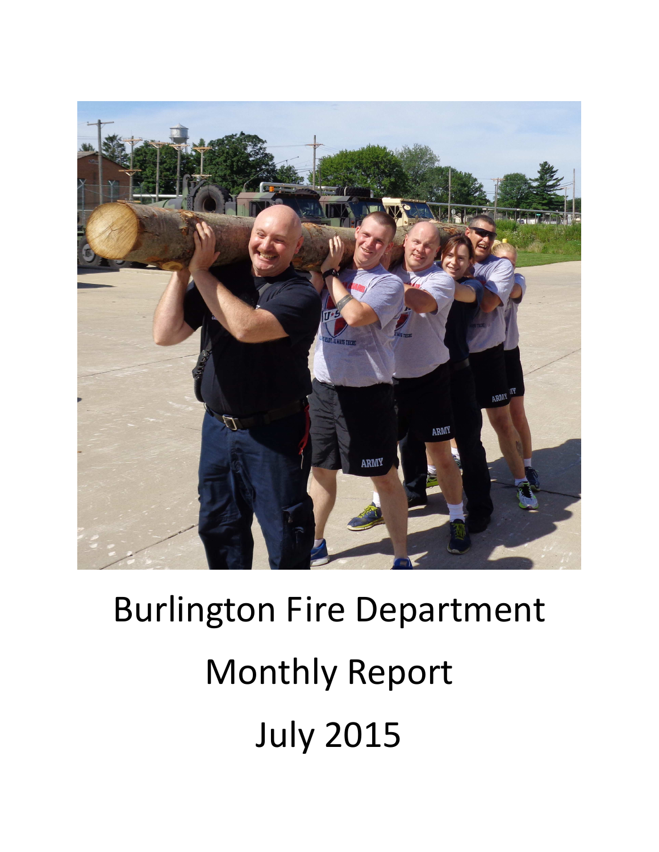

# Burlington Fire Department Monthly Report July 2015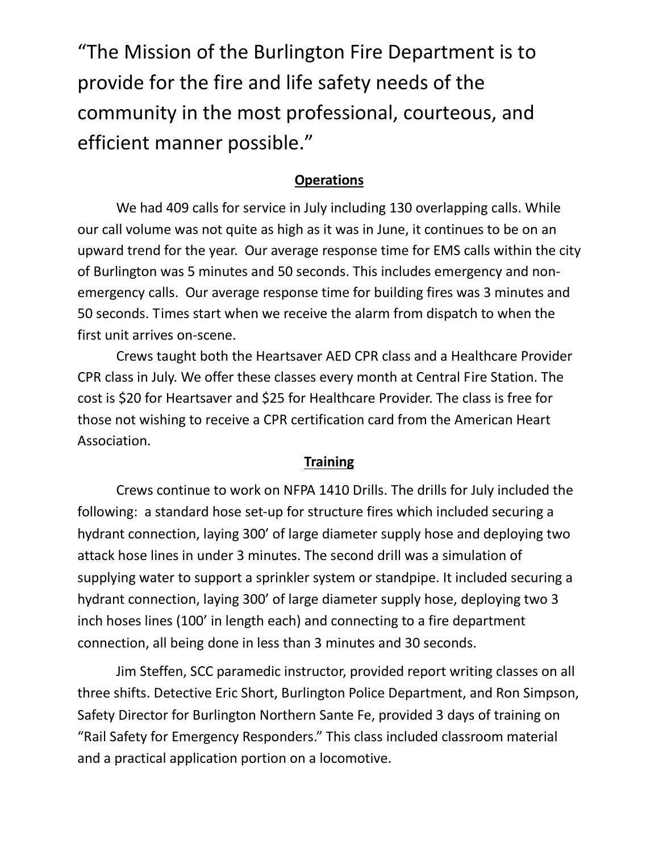"The Mission of the Burlington Fire Department is to provide for the fire and life safety needs of the community in the most professional, courteous, and efficient manner possible."

#### **Operations**

We had 409 calls for service in July including 130 overlapping calls. While our call volume was not quite as high as it was in June, it continues to be on an upward trend for the year. Our average response time for EMS calls within the city of Burlington was 5 minutes and 50 seconds. This includes emergency and nonemergency calls. Our average response time for building fires was 3 minutes and 50 seconds. Times start when we receive the alarm from dispatch to when the first unit arrives on-scene.

Crews taught both the Heartsaver AED CPR class and a Healthcare Provider CPR class in July. We offer these classes every month at Central Fire Station. The cost is \$20 for Heartsaver and \$25 for Healthcare Provider. The class is free for those not wishing to receive a CPR certification card from the American Heart Association.

#### **Training**

Crews continue to work on NFPA 1410 Drills. The drills for July included the following: a standard hose set-up for structure fires which included securing a hydrant connection, laying 300' of large diameter supply hose and deploying two attack hose lines in under 3 minutes. The second drill was a simulation of supplying water to support a sprinkler system or standpipe. It included securing a hydrant connection, laying 300' of large diameter supply hose, deploying two 3 inch hoses lines (100' in length each) and connecting to a fire department connection, all being done in less than 3 minutes and 30 seconds.

 Jim Steffen, SCC paramedic instructor, provided report writing classes on all three shifts. Detective Eric Short, Burlington Police Department, and Ron Simpson, Safety Director for Burlington Northern Sante Fe, provided 3 days of training on "Rail Safety for Emergency Responders." This class included classroom material and a practical application portion on a locomotive.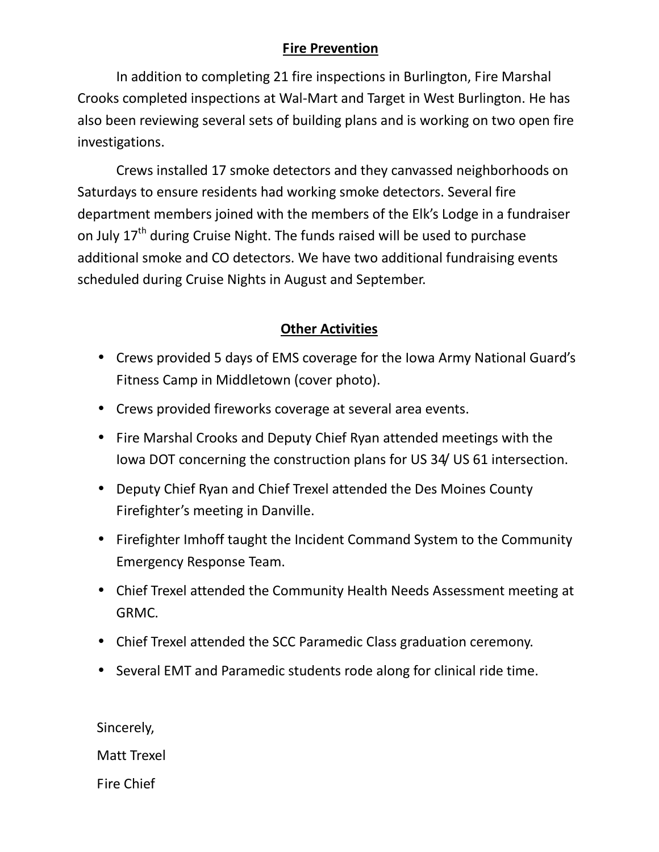## **Fire Prevention**

 In addition to completing 21 fire inspections in Burlington, Fire Marshal Crooks completed inspections at Wal-Mart and Target in West Burlington. He has also been reviewing several sets of building plans and is working on two open fire investigations.

Crews installed 17 smoke detectors and they canvassed neighborhoods on Saturdays to ensure residents had working smoke detectors. Several fire department members joined with the members of the Elk's Lodge in a fundraiser on July  $17<sup>th</sup>$  during Cruise Night. The funds raised will be used to purchase additional smoke and CO detectors. We have two additional fundraising events scheduled during Cruise Nights in August and September.

## **Other Activities**

- Crews provided 5 days of EMS coverage for the Iowa Army National Guard's Fitness Camp in Middletown (cover photo).
- Crews provided fireworks coverage at several area events.
- Fire Marshal Crooks and Deputy Chief Ryan attended meetings with the Iowa DOT concerning the construction plans for US 34/ US 61 intersection.
- Deputy Chief Ryan and Chief Trexel attended the Des Moines County Firefighter's meeting in Danville.
- Firefighter Imhoff taught the Incident Command System to the Community Emergency Response Team.
- Chief Trexel attended the Community Health Needs Assessment meeting at GRMC.
- Chief Trexel attended the SCC Paramedic Class graduation ceremony.
- Several EMT and Paramedic students rode along for clinical ride time.

Sincerely,

Matt Trexel

Fire Chief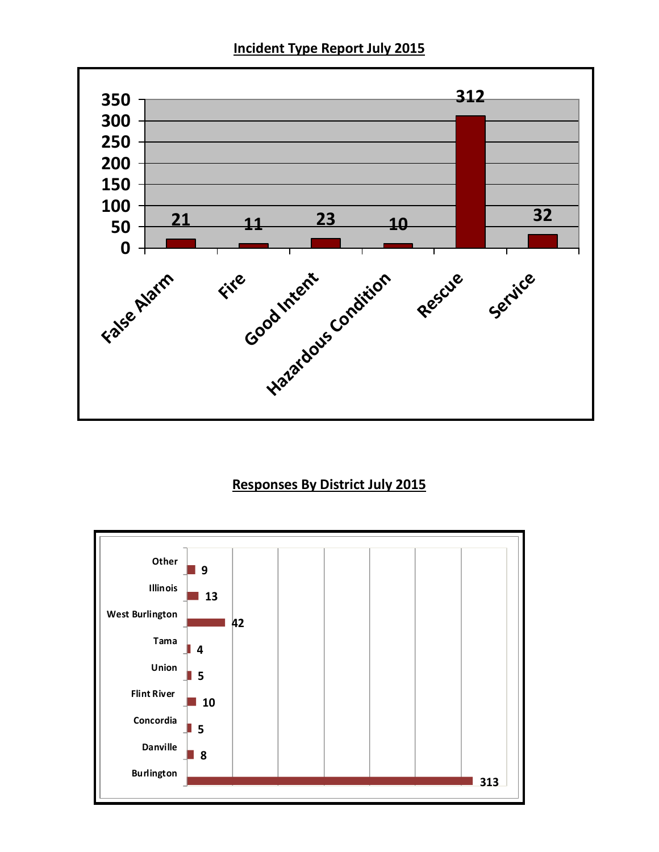**Incident Type Report July 2015** 



## **Responses By District July 2015**